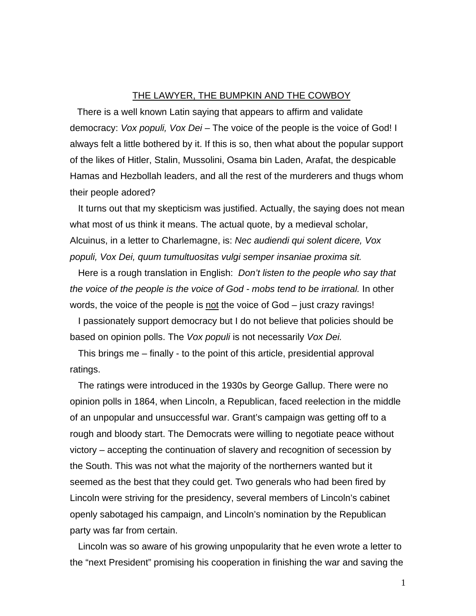## THE LAWYER, THE BUMPKIN AND THE COWBOY

There is a well known Latin saying that appears to affirm and validate democracy: *Vox populi, Vox Dei –* The voice of the people is the voice of God! I always felt a little bothered by it. If this is so, then what about the popular support of the likes of Hitler, Stalin, Mussolini, Osama bin Laden, Arafat, the despicable Hamas and Hezbollah leaders, and all the rest of the murderers and thugs whom their people adored?

It turns out that my skepticism was justified. Actually, the saying does not mean what most of us think it means. The actual quote, by a medieval scholar, Alcuinus, in a letter to Charlemagne, is: *Nec audiendi qui solent dicere, Vox populi, Vox Dei, quum tumultuositas vulgi semper insaniae proxima sit.* 

Here is a rough translation in English: *Don't listen to the people who say that the voice of the people is the voice of God - mobs tend to be irrational.* In other words, the voice of the people is not the voice of God – just crazy ravings!

I passionately support democracy but I do not believe that policies should be based on opinion polls. The *Vox populi* is not necessarily *Vox Dei.*

This brings me – finally - to the point of this article, presidential approval ratings.

The ratings were introduced in the 1930s by George Gallup. There were no opinion polls in 1864, when Lincoln, a Republican, faced reelection in the middle of an unpopular and unsuccessful war. Grant's campaign was getting off to a rough and bloody start. The Democrats were willing to negotiate peace without victory – accepting the continuation of slavery and recognition of secession by the South. This was not what the majority of the northerners wanted but it seemed as the best that they could get. Two generals who had been fired by Lincoln were striving for the presidency, several members of Lincoln's cabinet openly sabotaged his campaign, and Lincoln's nomination by the Republican party was far from certain.

Lincoln was so aware of his growing unpopularity that he even wrote a letter to the "next President" promising his cooperation in finishing the war and saving the

1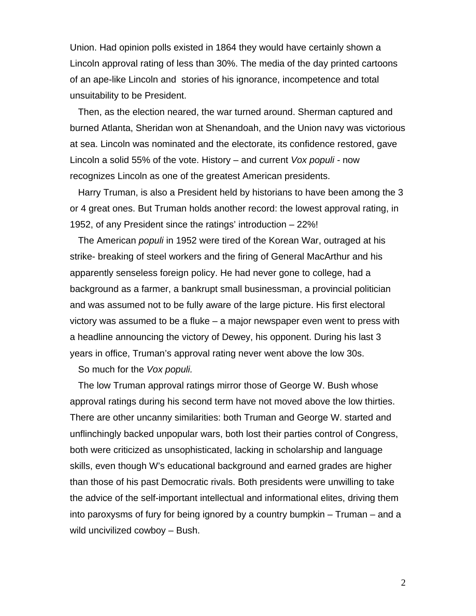Union. Had opinion polls existed in 1864 they would have certainly shown a Lincoln approval rating of less than 30%. The media of the day printed cartoons of an ape-like Lincoln and stories of his ignorance, incompetence and total unsuitability to be President.

Then, as the election neared, the war turned around. Sherman captured and burned Atlanta, Sheridan won at Shenandoah, and the Union navy was victorious at sea. Lincoln was nominated and the electorate, its confidence restored, gave Lincoln a solid 55% of the vote. History – and current *Vox populi -* now recognizes Lincoln as one of the greatest American presidents.

Harry Truman, is also a President held by historians to have been among the 3 or 4 great ones. But Truman holds another record: the lowest approval rating, in 1952, of any President since the ratings' introduction – 22%!

The American *populi* in 1952 were tired of the Korean War, outraged at his strike- breaking of steel workers and the firing of General MacArthur and his apparently senseless foreign policy. He had never gone to college, had a background as a farmer, a bankrupt small businessman, a provincial politician and was assumed not to be fully aware of the large picture. His first electoral victory was assumed to be a fluke – a major newspaper even went to press with a headline announcing the victory of Dewey, his opponent. During his last 3 years in office, Truman's approval rating never went above the low 30s.

So much for the *Vox populi.* 

The low Truman approval ratings mirror those of George W. Bush whose approval ratings during his second term have not moved above the low thirties. There are other uncanny similarities: both Truman and George W. started and unflinchingly backed unpopular wars, both lost their parties control of Congress, both were criticized as unsophisticated, lacking in scholarship and language skills, even though W's educational background and earned grades are higher than those of his past Democratic rivals. Both presidents were unwilling to take the advice of the self-important intellectual and informational elites, driving them into paroxysms of fury for being ignored by a country bumpkin – Truman – and a wild uncivilized cowboy – Bush.